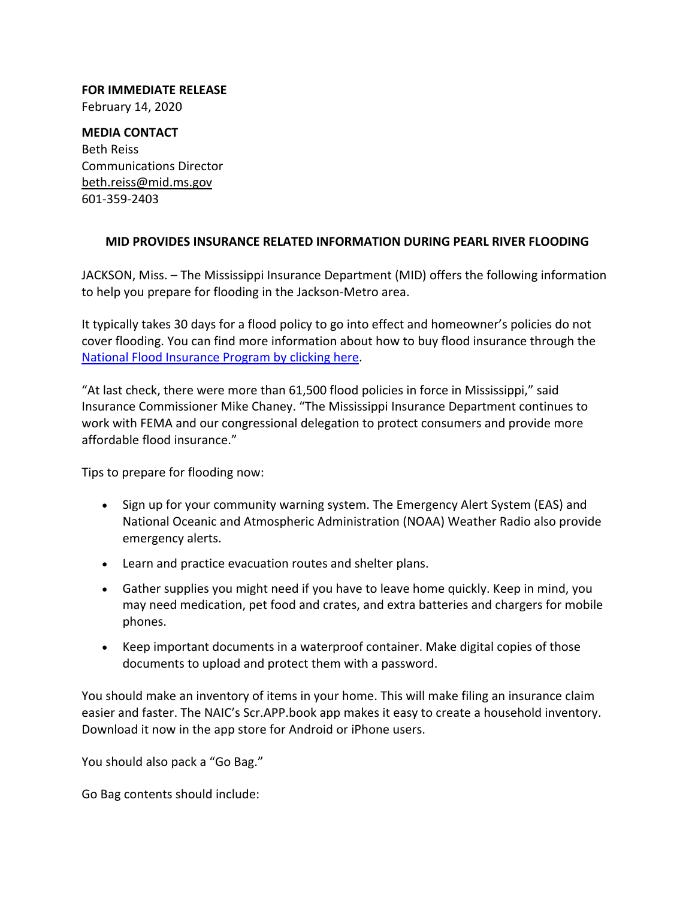**FOR IMMEDIATE RELEASE** February 14, 2020

**MEDIA CONTACT** Beth Reiss Communications Director beth.reiss@mid.ms.gov 601‐359‐2403

## **MID PROVIDES INSURANCE RELATED INFORMATION DURING PEARL RIVER FLOODING**

JACKSON, Miss. – The Mississippi Insurance Department (MID) offers the following information to help you prepare for flooding in the Jackson‐Metro area.

It typically takes 30 days for a flood policy to go into effect and homeowner's policies do not cover flooding. You can find more information about how to buy flood insurance through the National Flood Insurance Program by clicking here.

"At last check, there were more than 61,500 flood policies in force in Mississippi," said Insurance Commissioner Mike Chaney. "The Mississippi Insurance Department continues to work with FEMA and our congressional delegation to protect consumers and provide more affordable flood insurance."

Tips to prepare for flooding now:

- Sign up for your community warning system. The Emergency Alert System (EAS) and National Oceanic and Atmospheric Administration (NOAA) Weather Radio also provide emergency alerts.
- Learn and practice evacuation routes and shelter plans.
- Gather supplies you might need if you have to leave home quickly. Keep in mind, you may need medication, pet food and crates, and extra batteries and chargers for mobile phones.
- Keep important documents in a waterproof container. Make digital copies of those documents to upload and protect them with a password.

You should make an inventory of items in your home. This will make filing an insurance claim easier and faster. The NAIC's Scr.APP.book app makes it easy to create a household inventory. Download it now in the app store for Android or iPhone users.

You should also pack a "Go Bag."

Go Bag contents should include: